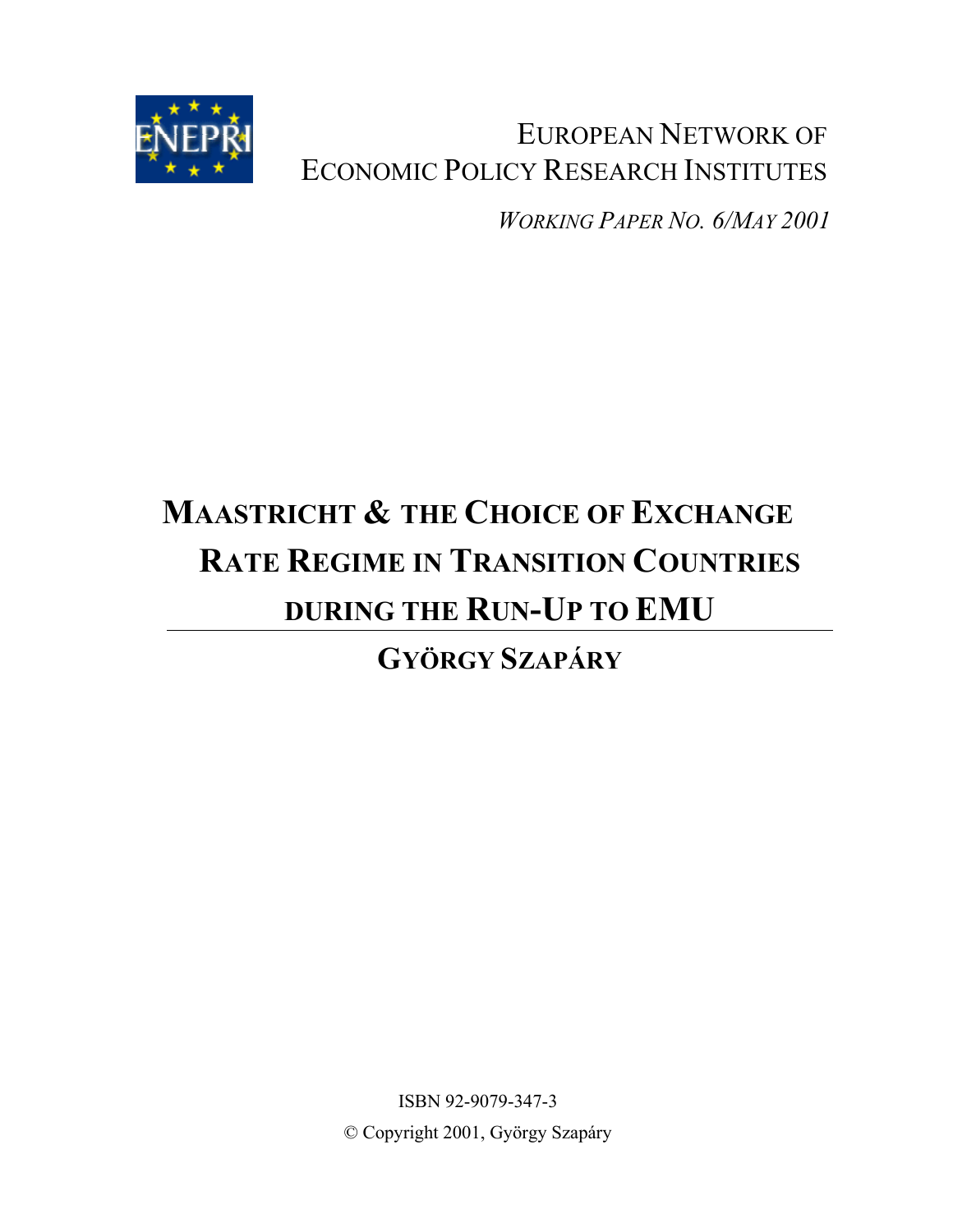

EUROPEAN NETWORK OF ECONOMIC POLICY RESEARCH INSTITUTES

*WORKING PAPER NO. 6/MAY 2001*

# **MAASTRICHT & THE CHOICE OF EXCHANGE RATE REGIME IN TRANSITION COUNTRIES DURING THE RUN-UP TO EMU**

**GYÖRGY SZAPÁRY**

ISBN 92-9079-347-3 © Copyright 2001, György Szapáry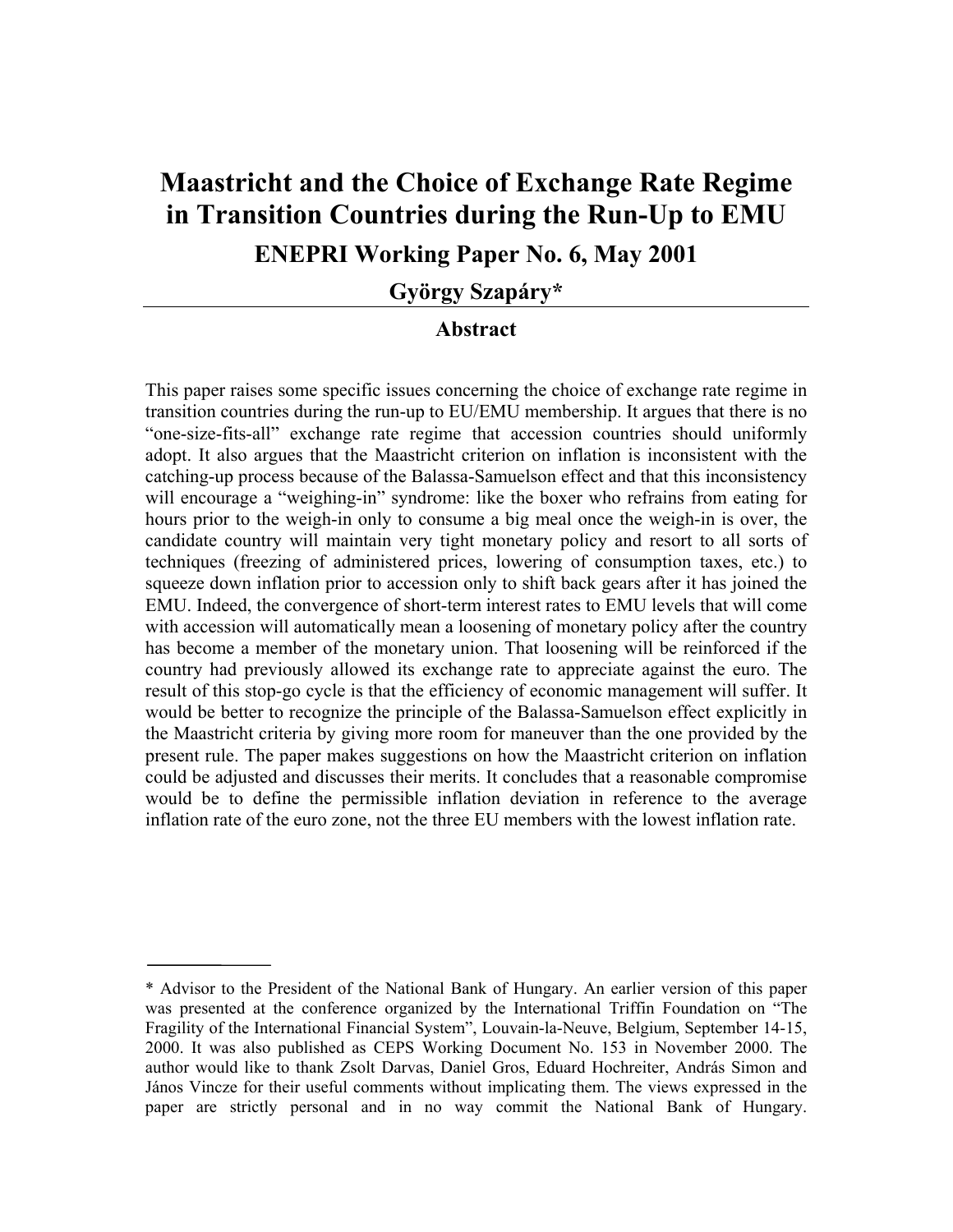# **Maastricht and the Choice of Exchange Rate Regime in Transition Countries during the Run-Up to EMU ENEPRI Working Paper No. 6, May 2001**

**György Szapáry\***

#### **Abstract**

This paper raises some specific issues concerning the choice of exchange rate regime in transition countries during the run-up to EU/EMU membership. It argues that there is no "one-size-fits-all" exchange rate regime that accession countries should uniformly adopt. It also argues that the Maastricht criterion on inflation is inconsistent with the catching-up process because of the Balassa-Samuelson effect and that this inconsistency will encourage a "weighing-in" syndrome: like the boxer who refrains from eating for hours prior to the weigh-in only to consume a big meal once the weigh-in is over, the candidate country will maintain very tight monetary policy and resort to all sorts of techniques (freezing of administered prices, lowering of consumption taxes, etc.) to squeeze down inflation prior to accession only to shift back gears after it has joined the EMU. Indeed, the convergence of short-term interest rates to EMU levels that will come with accession will automatically mean a loosening of monetary policy after the country has become a member of the monetary union. That loosening will be reinforced if the country had previously allowed its exchange rate to appreciate against the euro. The result of this stop-go cycle is that the efficiency of economic management will suffer. It would be better to recognize the principle of the Balassa-Samuelson effect explicitly in the Maastricht criteria by giving more room for maneuver than the one provided by the present rule. The paper makes suggestions on how the Maastricht criterion on inflation could be adjusted and discusses their merits. It concludes that a reasonable compromise would be to define the permissible inflation deviation in reference to the average inflation rate of the euro zone, not the three EU members with the lowest inflation rate.

<sup>\*</sup> Advisor to the President of the National Bank of Hungary. An earlier version of this paper was presented at the conference organized by the International Triffin Foundation on "The Fragility of the International Financial System", Louvain-la-Neuve, Belgium, September 14-15, 2000. It was also published as CEPS Working Document No. 153 in November 2000. The author would like to thank Zsolt Darvas, Daniel Gros, Eduard Hochreiter, András Simon and János Vincze for their useful comments without implicating them. The views expressed in the paper are strictly personal and in no way commit the National Bank of Hungary.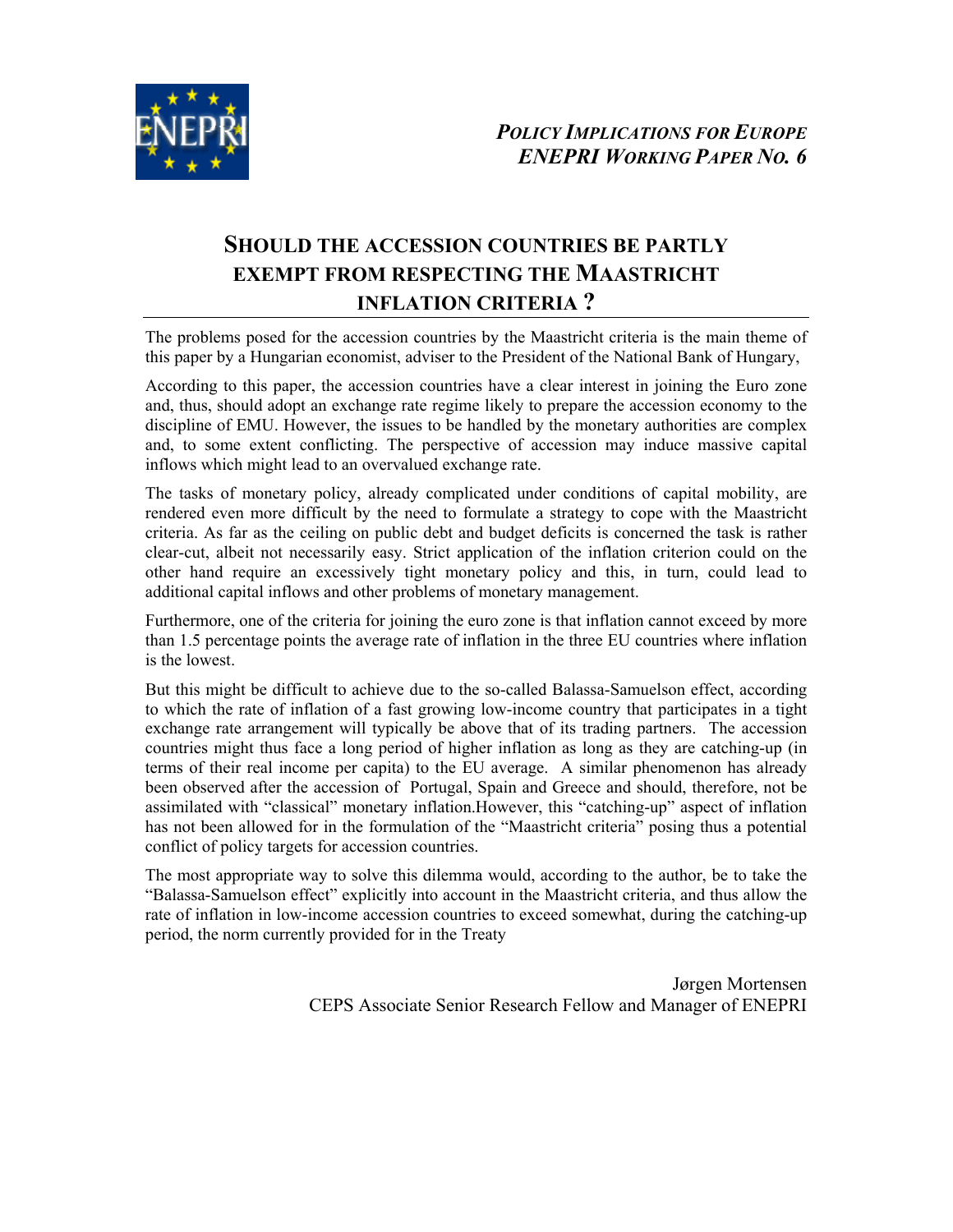

### **SHOULD THE ACCESSION COUNTRIES BE PARTLY EXEMPT FROM RESPECTING THE MAASTRICHT INFLATION CRITERIA ?**

The problems posed for the accession countries by the Maastricht criteria is the main theme of this paper by a Hungarian economist, adviser to the President of the National Bank of Hungary,

According to this paper, the accession countries have a clear interest in joining the Euro zone and, thus, should adopt an exchange rate regime likely to prepare the accession economy to the discipline of EMU. However, the issues to be handled by the monetary authorities are complex and, to some extent conflicting. The perspective of accession may induce massive capital inflows which might lead to an overvalued exchange rate.

The tasks of monetary policy, already complicated under conditions of capital mobility, are rendered even more difficult by the need to formulate a strategy to cope with the Maastricht criteria. As far as the ceiling on public debt and budget deficits is concerned the task is rather clear-cut, albeit not necessarily easy. Strict application of the inflation criterion could on the other hand require an excessively tight monetary policy and this, in turn, could lead to additional capital inflows and other problems of monetary management.

Furthermore, one of the criteria for joining the euro zone is that inflation cannot exceed by more than 1.5 percentage points the average rate of inflation in the three EU countries where inflation is the lowest.

But this might be difficult to achieve due to the so-called Balassa-Samuelson effect, according to which the rate of inflation of a fast growing low-income country that participates in a tight exchange rate arrangement will typically be above that of its trading partners. The accession countries might thus face a long period of higher inflation as long as they are catching-up (in terms of their real income per capita) to the EU average. A similar phenomenon has already been observed after the accession of Portugal, Spain and Greece and should, therefore, not be assimilated with "classical" monetary inflation.However, this "catching-up" aspect of inflation has not been allowed for in the formulation of the "Maastricht criteria" posing thus a potential conflict of policy targets for accession countries.

The most appropriate way to solve this dilemma would, according to the author, be to take the "Balassa-Samuelson effect" explicitly into account in the Maastricht criteria, and thus allow the rate of inflation in low-income accession countries to exceed somewhat, during the catching-up period, the norm currently provided for in the Treaty

> Jørgen Mortensen CEPS Associate Senior Research Fellow and Manager of ENEPRI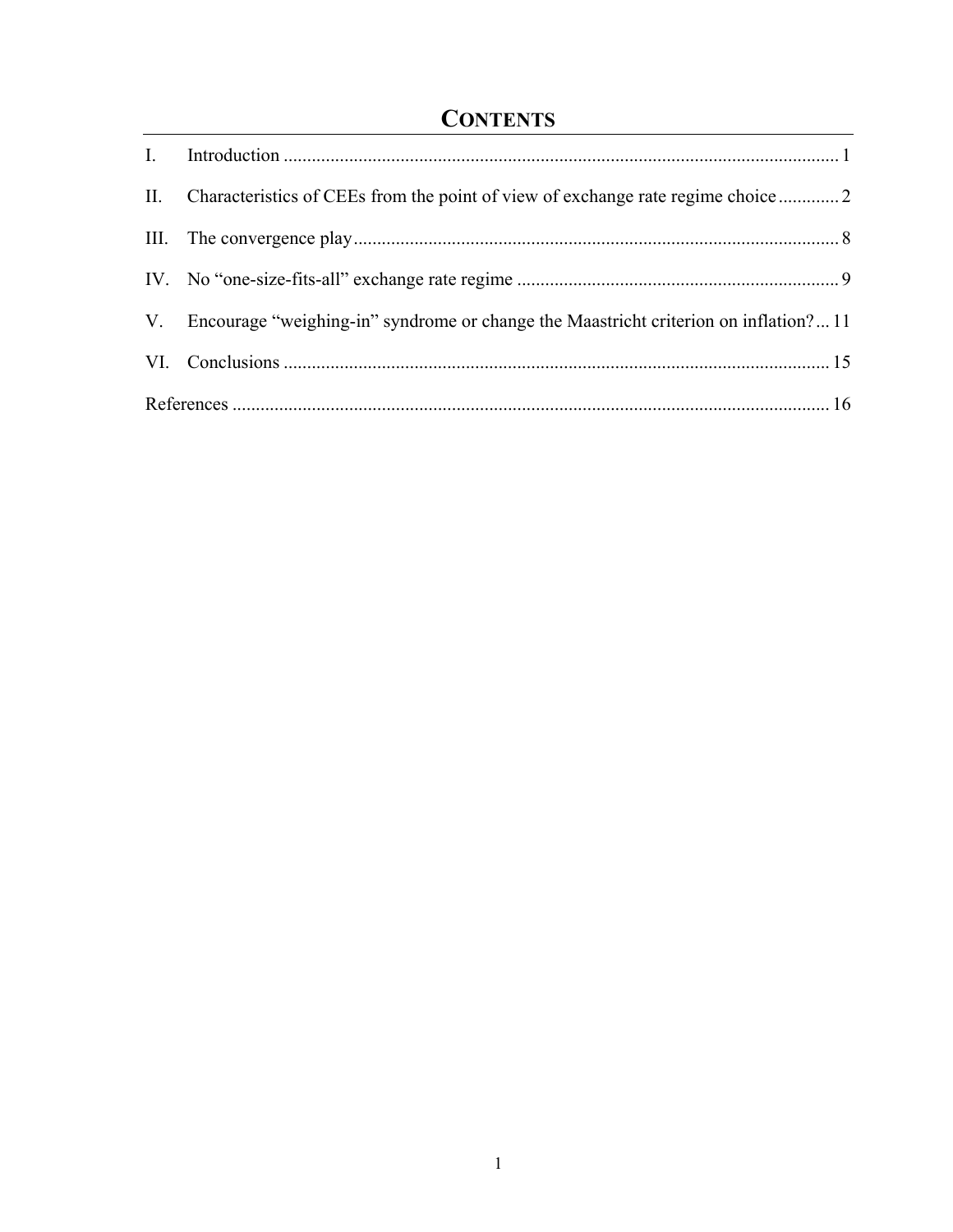# **CONTENTS**

| V. Encourage "weighing-in" syndrome or change the Maastricht criterion on inflation?11 |  |  |
|----------------------------------------------------------------------------------------|--|--|
|                                                                                        |  |  |
|                                                                                        |  |  |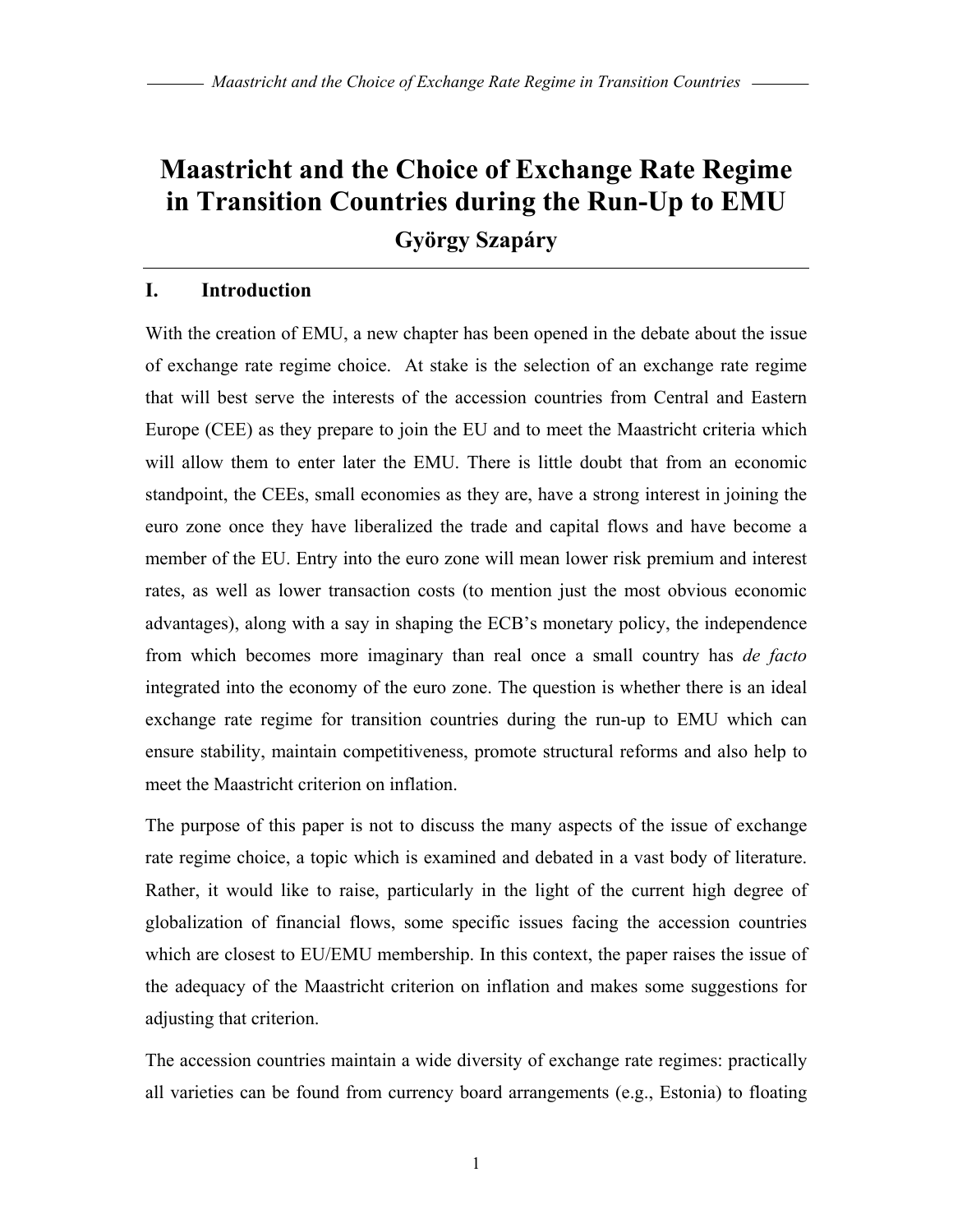# **Maastricht and the Choice of Exchange Rate Regime in Transition Countries during the Run-Up to EMU**

**György Szapáry**

#### **I. Introduction**

With the creation of EMU, a new chapter has been opened in the debate about the issue of exchange rate regime choice. At stake is the selection of an exchange rate regime that will best serve the interests of the accession countries from Central and Eastern Europe (CEE) as they prepare to join the EU and to meet the Maastricht criteria which will allow them to enter later the EMU. There is little doubt that from an economic standpoint, the CEEs, small economies as they are, have a strong interest in joining the euro zone once they have liberalized the trade and capital flows and have become a member of the EU. Entry into the euro zone will mean lower risk premium and interest rates, as well as lower transaction costs (to mention just the most obvious economic advantages), along with a say in shaping the ECB's monetary policy, the independence from which becomes more imaginary than real once a small country has *de facto* integrated into the economy of the euro zone. The question is whether there is an ideal exchange rate regime for transition countries during the run-up to EMU which can ensure stability, maintain competitiveness, promote structural reforms and also help to meet the Maastricht criterion on inflation.

The purpose of this paper is not to discuss the many aspects of the issue of exchange rate regime choice, a topic which is examined and debated in a vast body of literature. Rather, it would like to raise, particularly in the light of the current high degree of globalization of financial flows, some specific issues facing the accession countries which are closest to EU/EMU membership. In this context, the paper raises the issue of the adequacy of the Maastricht criterion on inflation and makes some suggestions for adjusting that criterion.

The accession countries maintain a wide diversity of exchange rate regimes: practically all varieties can be found from currency board arrangements (e.g., Estonia) to floating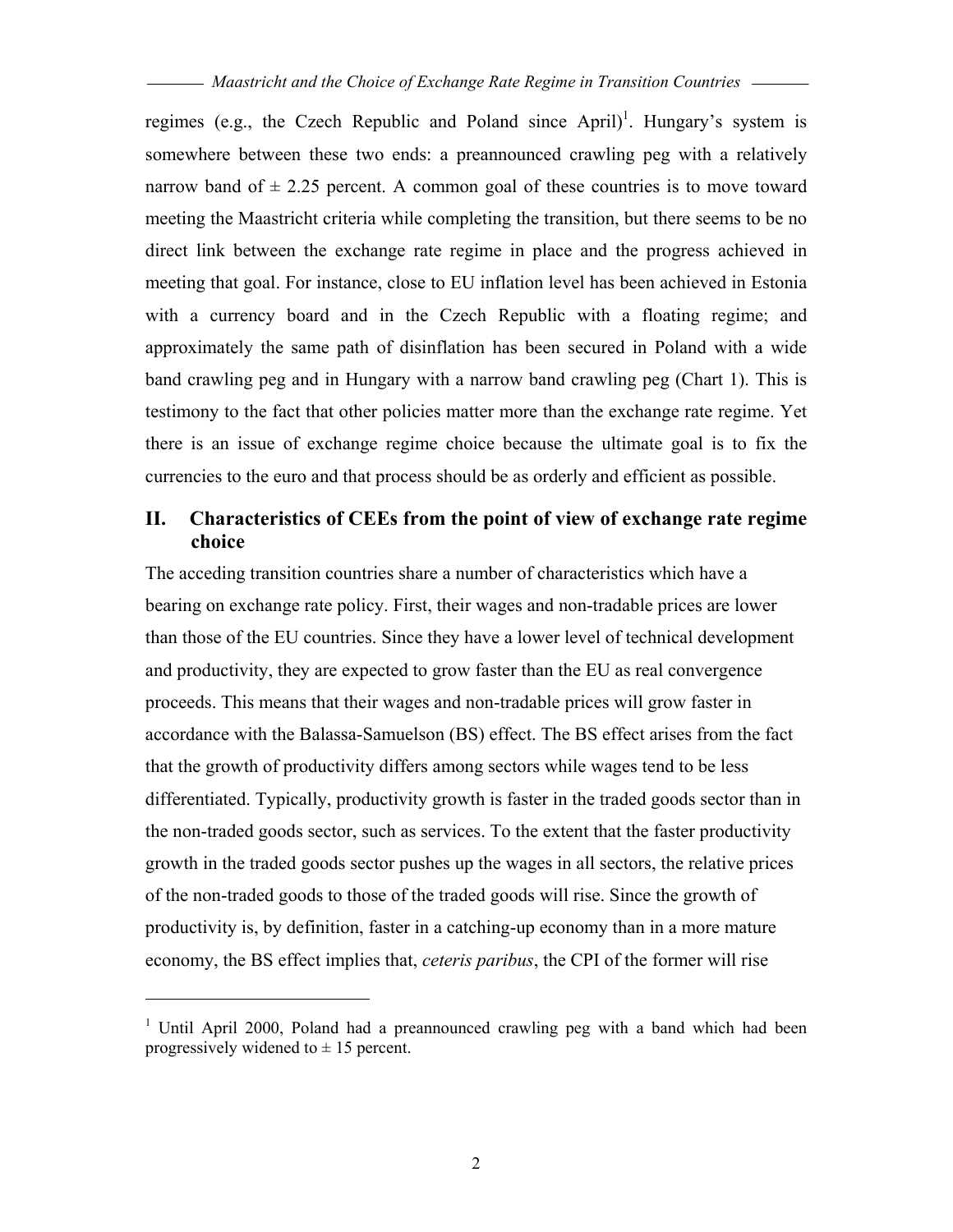regimes (e.g., the Czech Republic and Poland since April)<sup>1</sup>. Hungary's system is somewhere between these two ends: a preannounced crawling peg with a relatively narrow band of  $\pm$  2.25 percent. A common goal of these countries is to move toward meeting the Maastricht criteria while completing the transition, but there seems to be no direct link between the exchange rate regime in place and the progress achieved in meeting that goal. For instance, close to EU inflation level has been achieved in Estonia with a currency board and in the Czech Republic with a floating regime; and approximately the same path of disinflation has been secured in Poland with a wide band crawling peg and in Hungary with a narrow band crawling peg (Chart 1). This is testimony to the fact that other policies matter more than the exchange rate regime. Yet there is an issue of exchange regime choice because the ultimate goal is to fix the currencies to the euro and that process should be as orderly and efficient as possible.

#### **II. Characteristics of CEEs from the point of view of exchange rate regime choice**

The acceding transition countries share a number of characteristics which have a bearing on exchange rate policy. First, their wages and non-tradable prices are lower than those of the EU countries. Since they have a lower level of technical development and productivity, they are expected to grow faster than the EU as real convergence proceeds. This means that their wages and non-tradable prices will grow faster in accordance with the Balassa-Samuelson (BS) effect. The BS effect arises from the fact that the growth of productivity differs among sectors while wages tend to be less differentiated. Typically, productivity growth is faster in the traded goods sector than in the non-traded goods sector, such as services. To the extent that the faster productivity growth in the traded goods sector pushes up the wages in all sectors, the relative prices of the non-traded goods to those of the traded goods will rise. Since the growth of productivity is, by definition, faster in a catching-up economy than in a more mature economy, the BS effect implies that, *ceteris paribus*, the CPI of the former will rise

 $\overline{a}$ 

<sup>&</sup>lt;sup>1</sup> Until April 2000, Poland had a preannounced crawling peg with a band which had been progressively widened to  $\pm$  15 percent.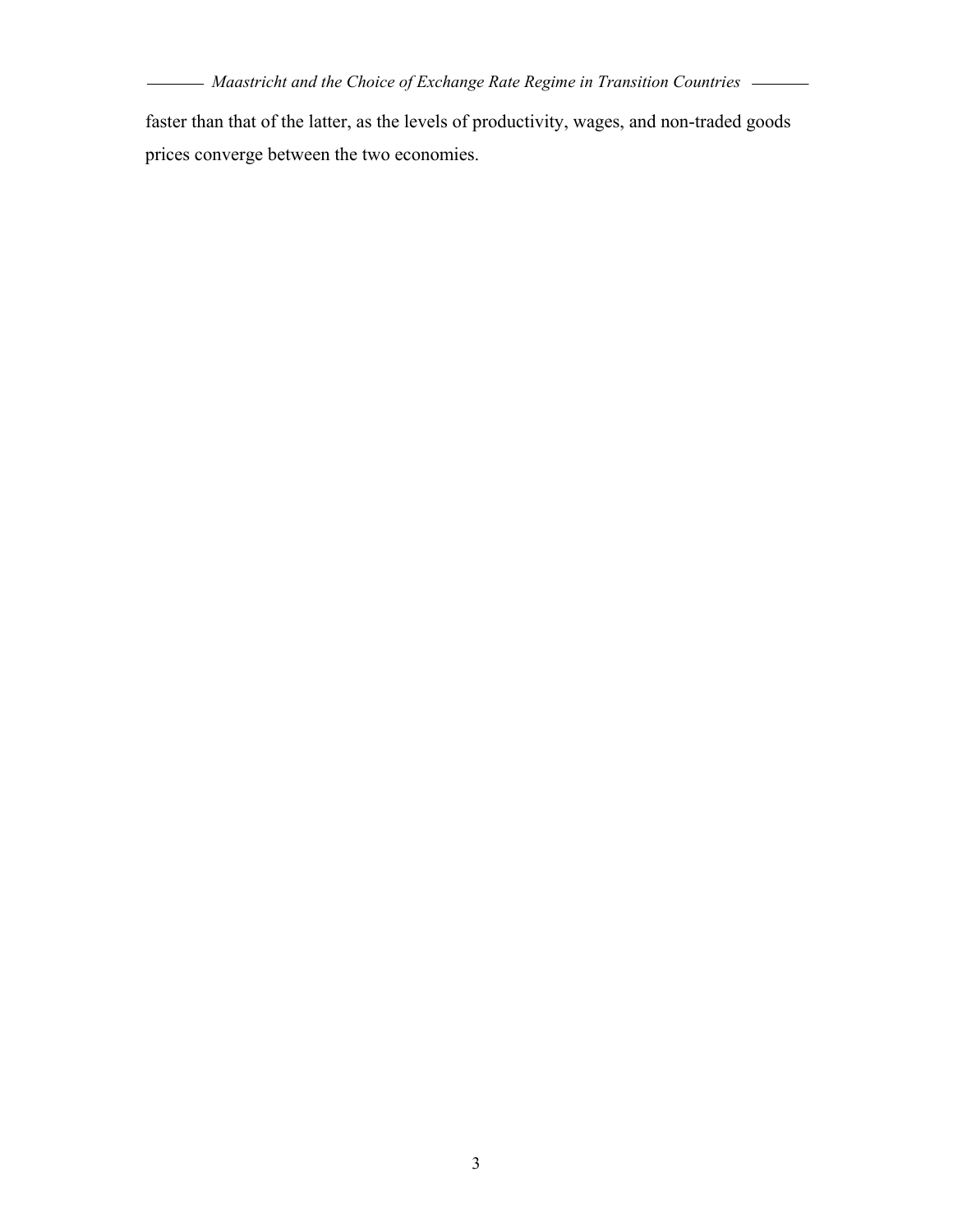$\overline{\phantom{0}}$ 

 $\overline{\phantom{0}}$ 

faster than that of the latter, as the levels of productivity, wages, and non-traded goods prices converge between the two economies.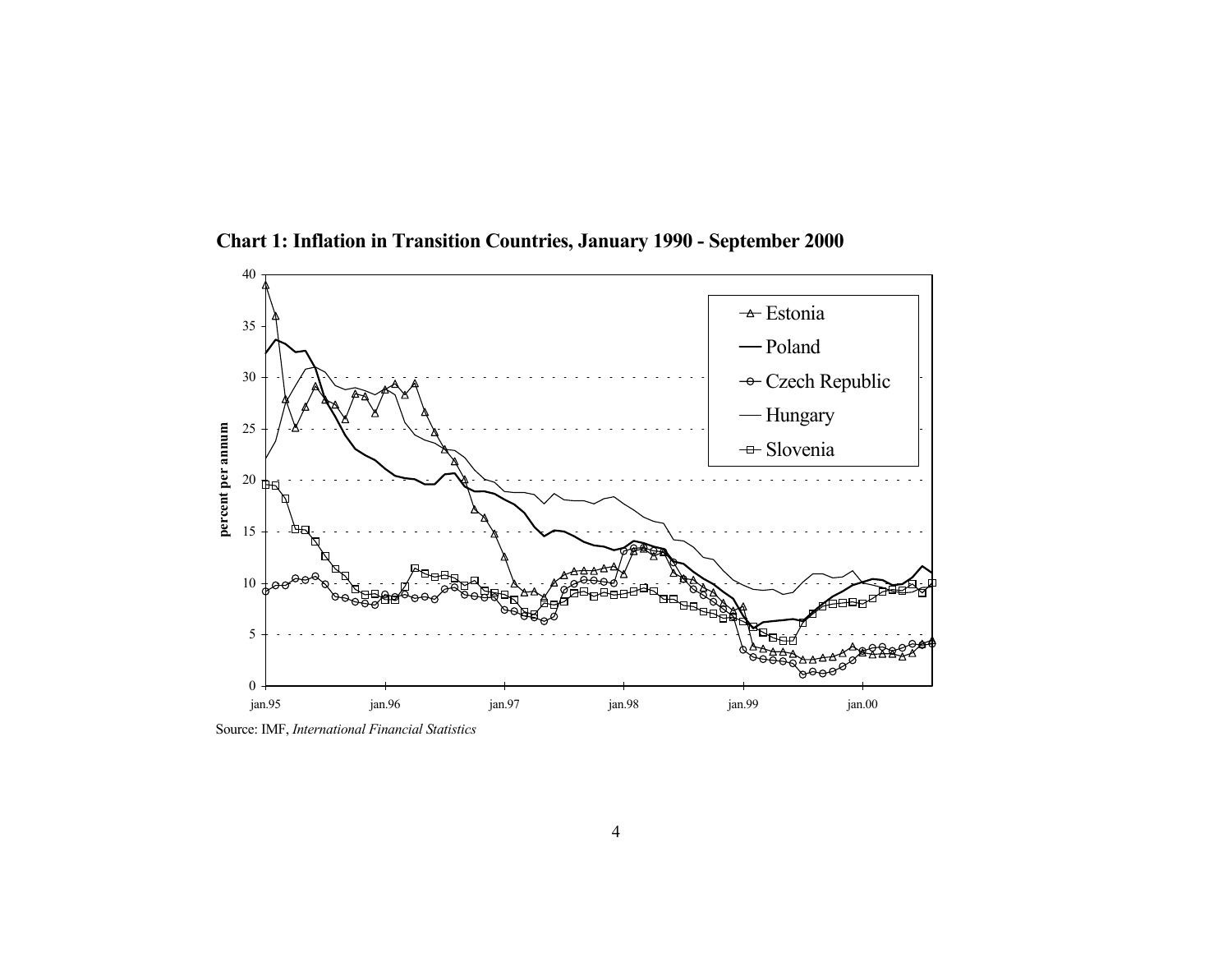

**Chart 1: Inflation in Transition Countries, January 1990 - September 2000**

Source: IMF, *International Financial Statistics*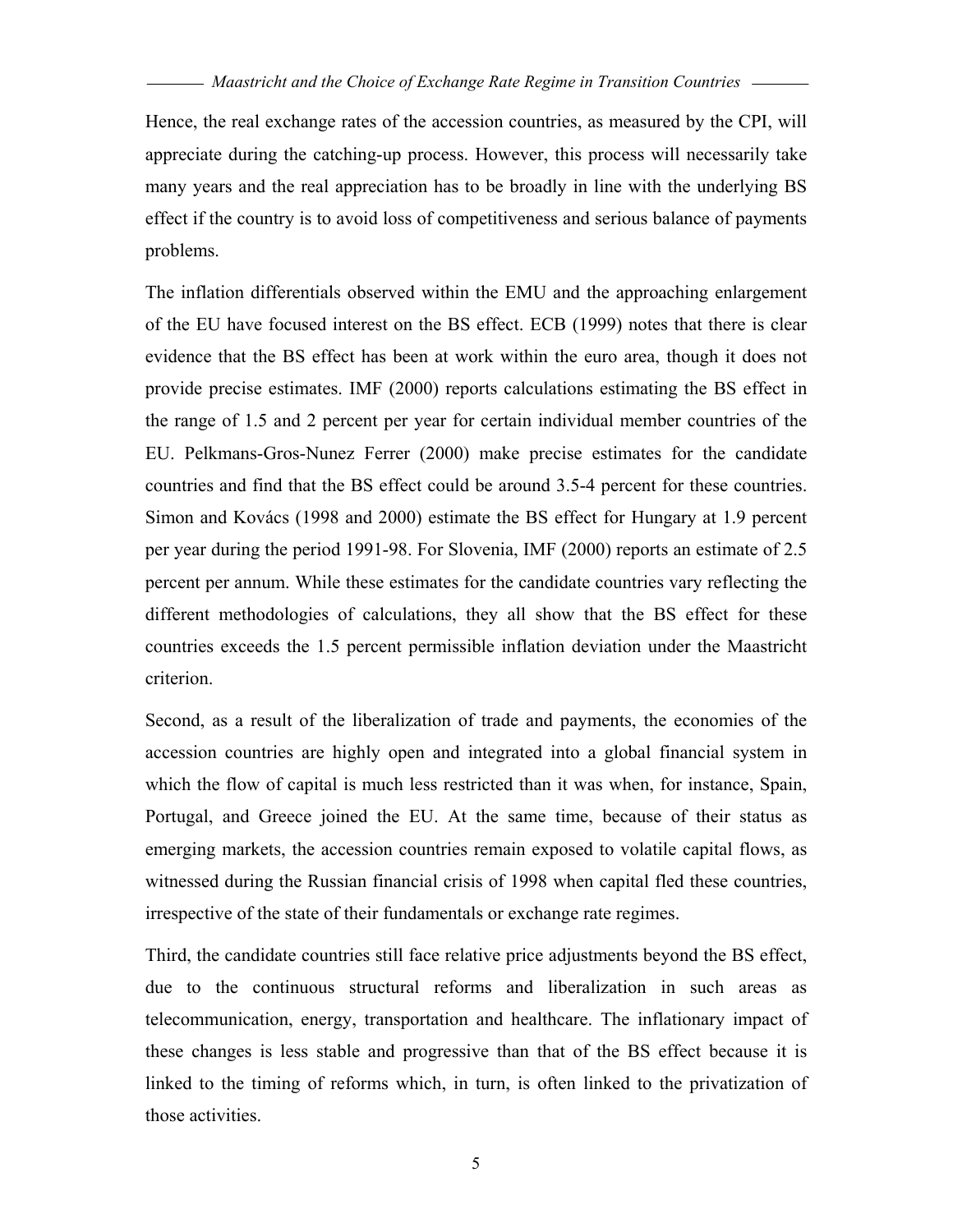Hence, the real exchange rates of the accession countries, as measured by the CPI, will appreciate during the catching-up process. However, this process will necessarily take many years and the real appreciation has to be broadly in line with the underlying BS effect if the country is to avoid loss of competitiveness and serious balance of payments problems.

The inflation differentials observed within the EMU and the approaching enlargement of the EU have focused interest on the BS effect. ECB (1999) notes that there is clear evidence that the BS effect has been at work within the euro area, though it does not provide precise estimates. IMF (2000) reports calculations estimating the BS effect in the range of 1.5 and 2 percent per year for certain individual member countries of the EU. Pelkmans-Gros-Nunez Ferrer (2000) make precise estimates for the candidate countries and find that the BS effect could be around 3.5-4 percent for these countries. Simon and Kovács (1998 and 2000) estimate the BS effect for Hungary at 1.9 percent per year during the period 1991-98. For Slovenia, IMF (2000) reports an estimate of 2.5 percent per annum. While these estimates for the candidate countries vary reflecting the different methodologies of calculations, they all show that the BS effect for these countries exceeds the 1.5 percent permissible inflation deviation under the Maastricht criterion.

Second, as a result of the liberalization of trade and payments, the economies of the accession countries are highly open and integrated into a global financial system in which the flow of capital is much less restricted than it was when, for instance, Spain, Portugal, and Greece joined the EU. At the same time, because of their status as emerging markets, the accession countries remain exposed to volatile capital flows, as witnessed during the Russian financial crisis of 1998 when capital fled these countries, irrespective of the state of their fundamentals or exchange rate regimes.

Third, the candidate countries still face relative price adjustments beyond the BS effect, due to the continuous structural reforms and liberalization in such areas as telecommunication, energy, transportation and healthcare. The inflationary impact of these changes is less stable and progressive than that of the BS effect because it is linked to the timing of reforms which, in turn, is often linked to the privatization of those activities.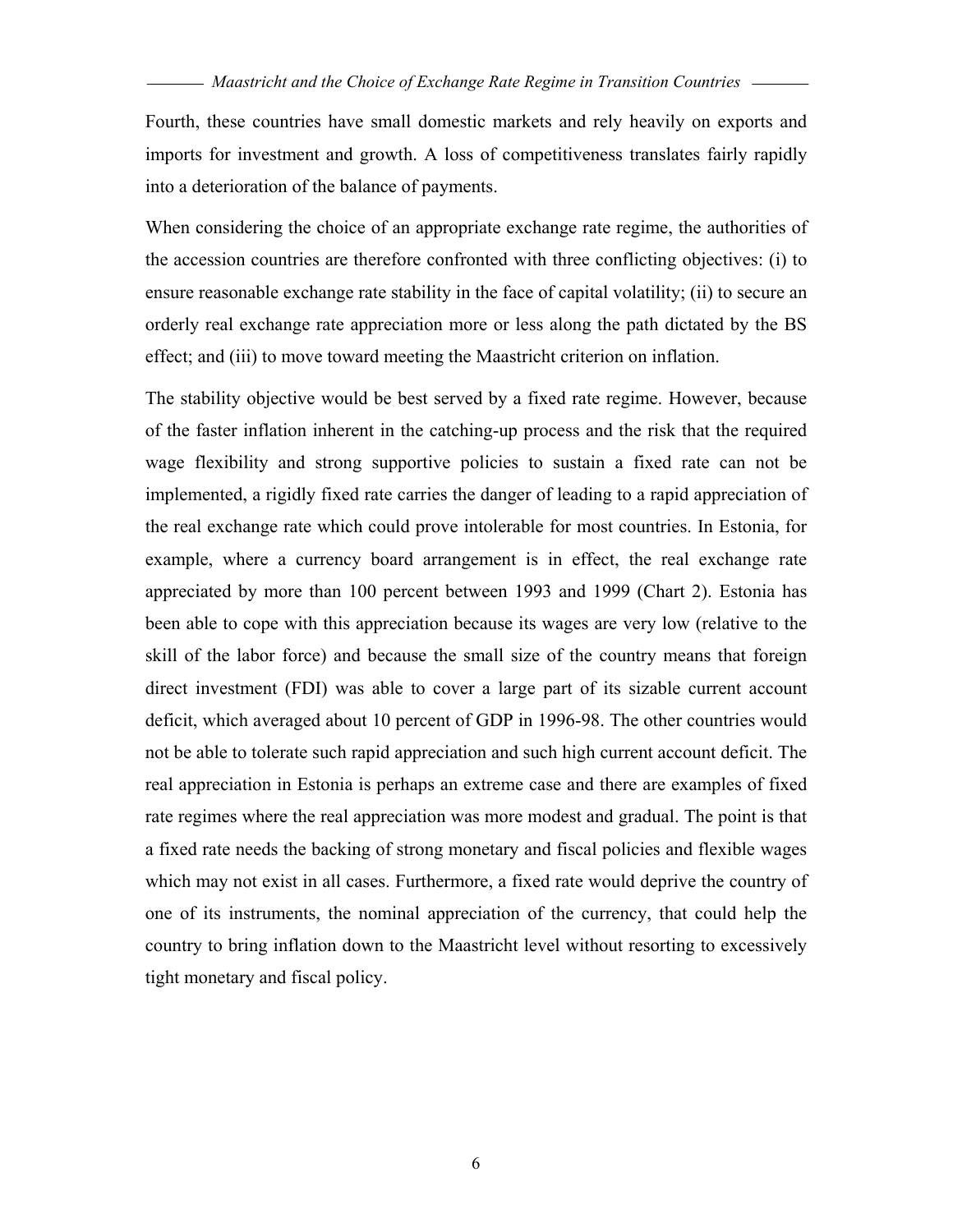Fourth, these countries have small domestic markets and rely heavily on exports and imports for investment and growth. A loss of competitiveness translates fairly rapidly into a deterioration of the balance of payments.

When considering the choice of an appropriate exchange rate regime, the authorities of the accession countries are therefore confronted with three conflicting objectives: (i) to ensure reasonable exchange rate stability in the face of capital volatility; (ii) to secure an orderly real exchange rate appreciation more or less along the path dictated by the BS effect; and (iii) to move toward meeting the Maastricht criterion on inflation.

The stability objective would be best served by a fixed rate regime. However, because of the faster inflation inherent in the catching-up process and the risk that the required wage flexibility and strong supportive policies to sustain a fixed rate can not be implemented, a rigidly fixed rate carries the danger of leading to a rapid appreciation of the real exchange rate which could prove intolerable for most countries. In Estonia, for example, where a currency board arrangement is in effect, the real exchange rate appreciated by more than 100 percent between 1993 and 1999 (Chart 2). Estonia has been able to cope with this appreciation because its wages are very low (relative to the skill of the labor force) and because the small size of the country means that foreign direct investment (FDI) was able to cover a large part of its sizable current account deficit, which averaged about 10 percent of GDP in 1996-98. The other countries would not be able to tolerate such rapid appreciation and such high current account deficit. The real appreciation in Estonia is perhaps an extreme case and there are examples of fixed rate regimes where the real appreciation was more modest and gradual. The point is that a fixed rate needs the backing of strong monetary and fiscal policies and flexible wages which may not exist in all cases. Furthermore, a fixed rate would deprive the country of one of its instruments, the nominal appreciation of the currency, that could help the country to bring inflation down to the Maastricht level without resorting to excessively tight monetary and fiscal policy.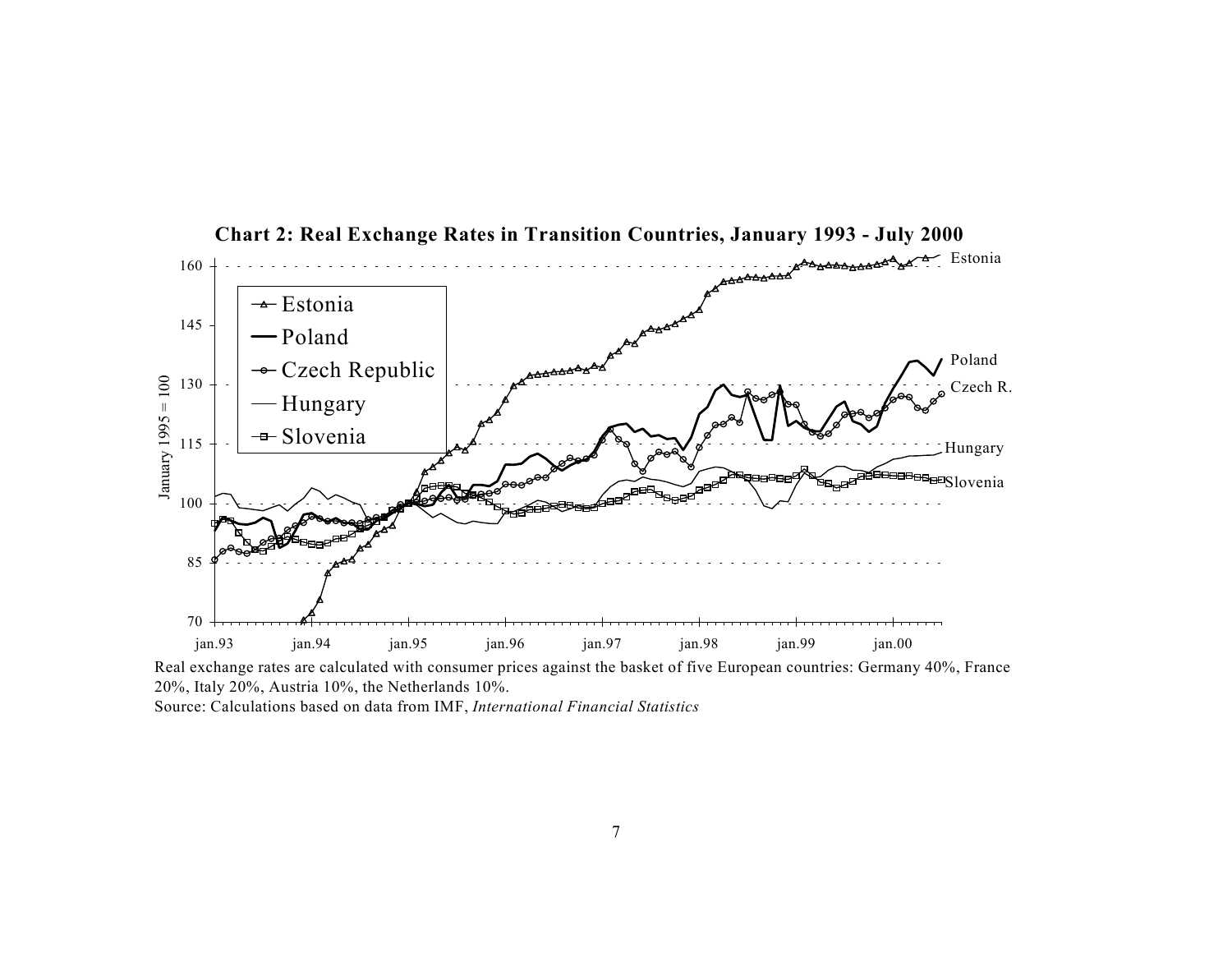

**Chart 2: Real Exchange Rates in Transition Countries, January 1993 - July 2000**

Real exchange rates are calculated with consumer prices against the basket of five European countries: Germany 40%, France 20%, Italy 20%, Austria 10%, the Netherlands 10%.

Source: Calculations based on data from IMF, *International Financial Statistics*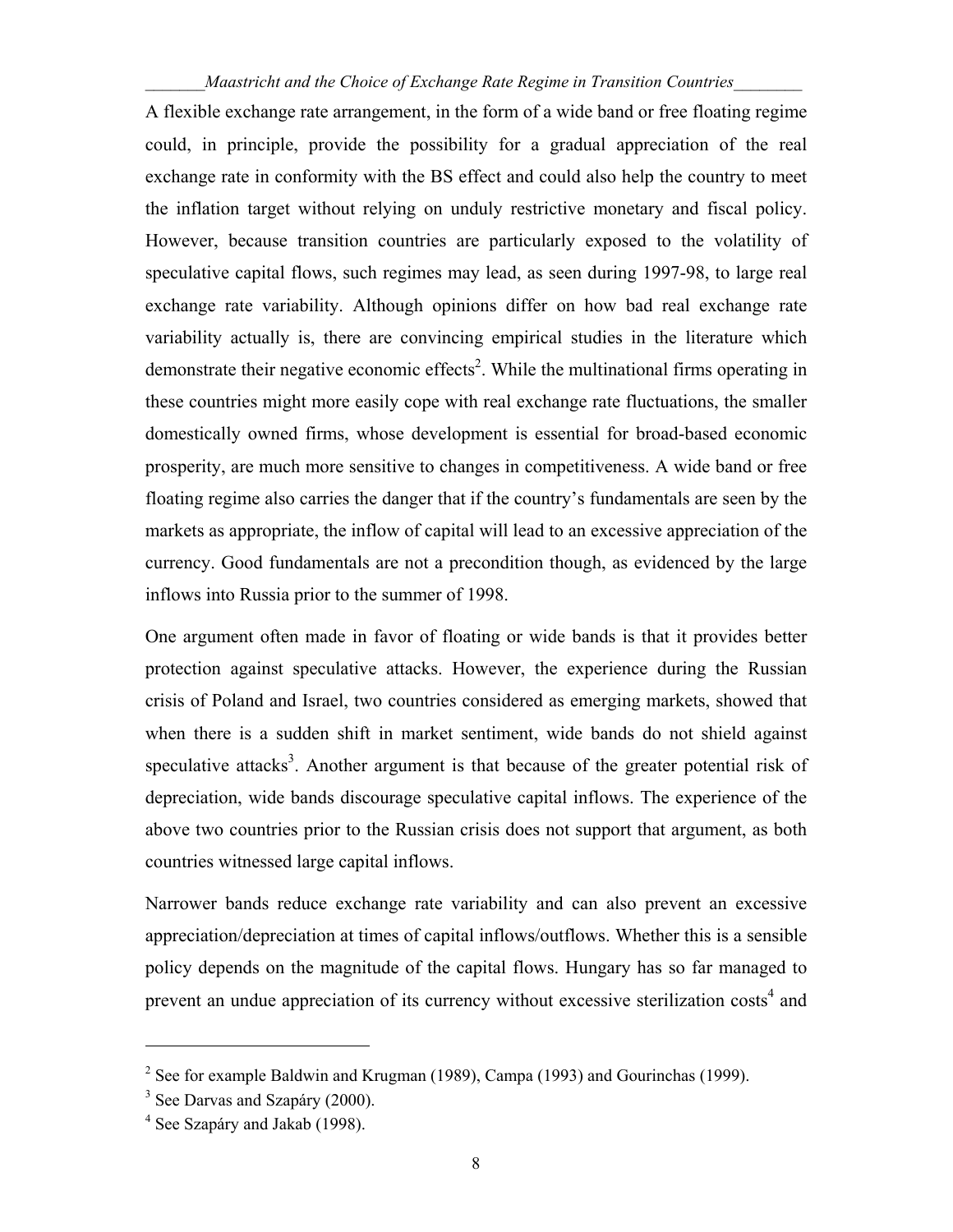A flexible exchange rate arrangement, in the form of a wide band or free floating regime could, in principle, provide the possibility for a gradual appreciation of the real exchange rate in conformity with the BS effect and could also help the country to meet the inflation target without relying on unduly restrictive monetary and fiscal policy. However, because transition countries are particularly exposed to the volatility of speculative capital flows, such regimes may lead, as seen during 1997-98, to large real exchange rate variability. Although opinions differ on how bad real exchange rate variability actually is, there are convincing empirical studies in the literature which demonstrate their negative economic effects<sup>2</sup>. While the multinational firms operating in these countries might more easily cope with real exchange rate fluctuations, the smaller domestically owned firms, whose development is essential for broad-based economic prosperity, are much more sensitive to changes in competitiveness. A wide band or free floating regime also carries the danger that if the country's fundamentals are seen by the markets as appropriate, the inflow of capital will lead to an excessive appreciation of the currency. Good fundamentals are not a precondition though, as evidenced by the large inflows into Russia prior to the summer of 1998.

One argument often made in favor of floating or wide bands is that it provides better protection against speculative attacks. However, the experience during the Russian crisis of Poland and Israel, two countries considered as emerging markets, showed that when there is a sudden shift in market sentiment, wide bands do not shield against speculative attacks<sup>3</sup>. Another argument is that because of the greater potential risk of depreciation, wide bands discourage speculative capital inflows. The experience of the above two countries prior to the Russian crisis does not support that argument, as both countries witnessed large capital inflows.

Narrower bands reduce exchange rate variability and can also prevent an excessive appreciation/depreciation at times of capital inflows/outflows. Whether this is a sensible policy depends on the magnitude of the capital flows. Hungary has so far managed to prevent an undue appreciation of its currency without excessive sterilization costs<sup>4</sup> and

<u>.</u>

<sup>&</sup>lt;sup>2</sup> See for example Baldwin and Krugman (1989), Campa (1993) and Gourinchas (1999).

<sup>&</sup>lt;sup>3</sup> See Darvas and Szapáry (2000).

<sup>&</sup>lt;sup>4</sup> See Szapáry and Jakab (1998).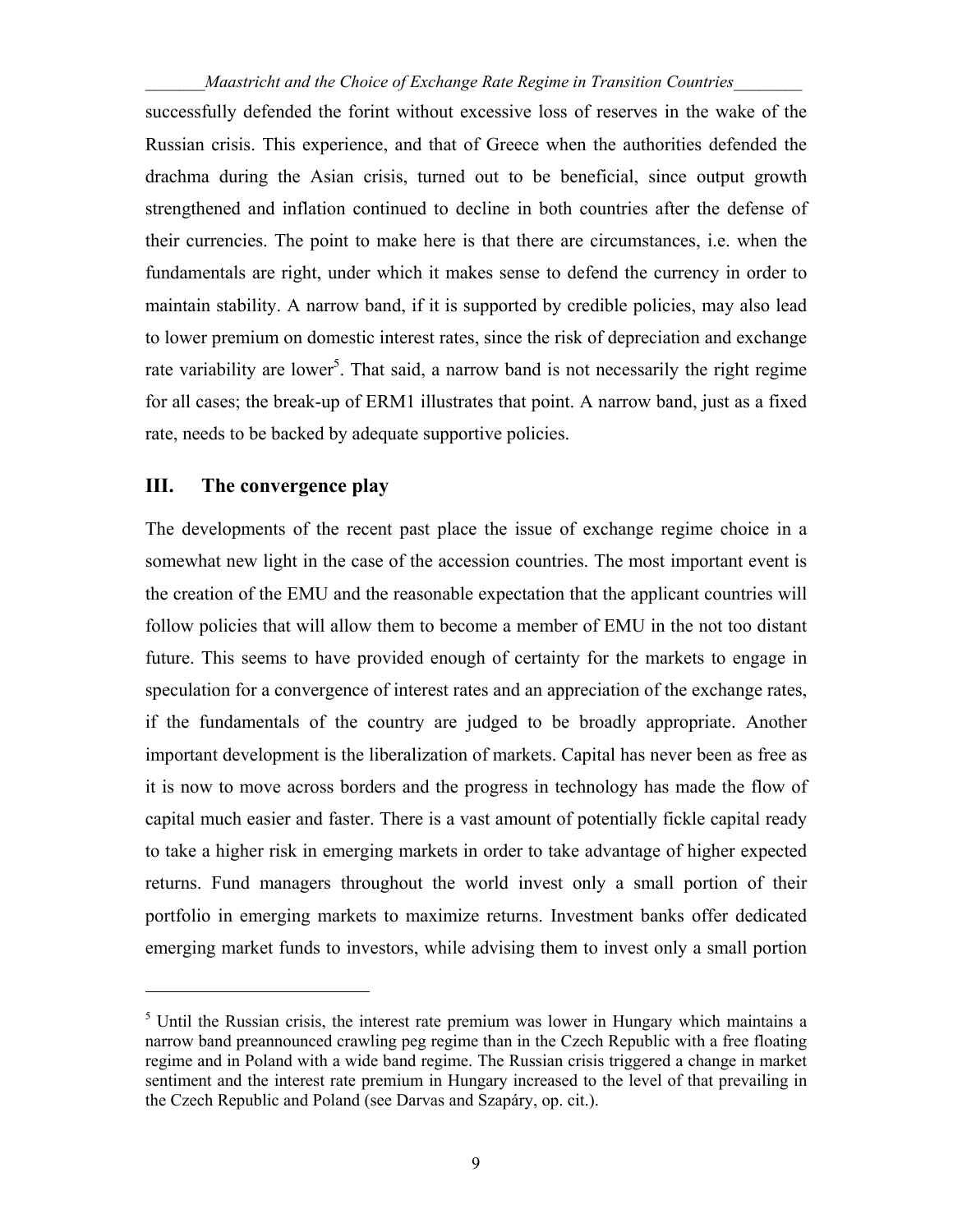successfully defended the forint without excessive loss of reserves in the wake of the Russian crisis. This experience, and that of Greece when the authorities defended the drachma during the Asian crisis, turned out to be beneficial, since output growth strengthened and inflation continued to decline in both countries after the defense of their currencies. The point to make here is that there are circumstances, i.e. when the fundamentals are right, under which it makes sense to defend the currency in order to maintain stability. A narrow band, if it is supported by credible policies, may also lead to lower premium on domestic interest rates, since the risk of depreciation and exchange rate variability are lower<sup>5</sup>. That said, a narrow band is not necessarily the right regime for all cases; the break-up of ERM1 illustrates that point. A narrow band, just as a fixed rate, needs to be backed by adequate supportive policies.

#### **III. The convergence play**

<u>.</u>

The developments of the recent past place the issue of exchange regime choice in a somewhat new light in the case of the accession countries. The most important event is the creation of the EMU and the reasonable expectation that the applicant countries will follow policies that will allow them to become a member of EMU in the not too distant future. This seems to have provided enough of certainty for the markets to engage in speculation for a convergence of interest rates and an appreciation of the exchange rates, if the fundamentals of the country are judged to be broadly appropriate. Another important development is the liberalization of markets. Capital has never been as free as it is now to move across borders and the progress in technology has made the flow of capital much easier and faster. There is a vast amount of potentially fickle capital ready to take a higher risk in emerging markets in order to take advantage of higher expected returns. Fund managers throughout the world invest only a small portion of their portfolio in emerging markets to maximize returns. Investment banks offer dedicated emerging market funds to investors, while advising them to invest only a small portion

 $<sup>5</sup>$  Until the Russian crisis, the interest rate premium was lower in Hungary which maintains a</sup> narrow band preannounced crawling peg regime than in the Czech Republic with a free floating regime and in Poland with a wide band regime. The Russian crisis triggered a change in market sentiment and the interest rate premium in Hungary increased to the level of that prevailing in the Czech Republic and Poland (see Darvas and Szapáry, op. cit.).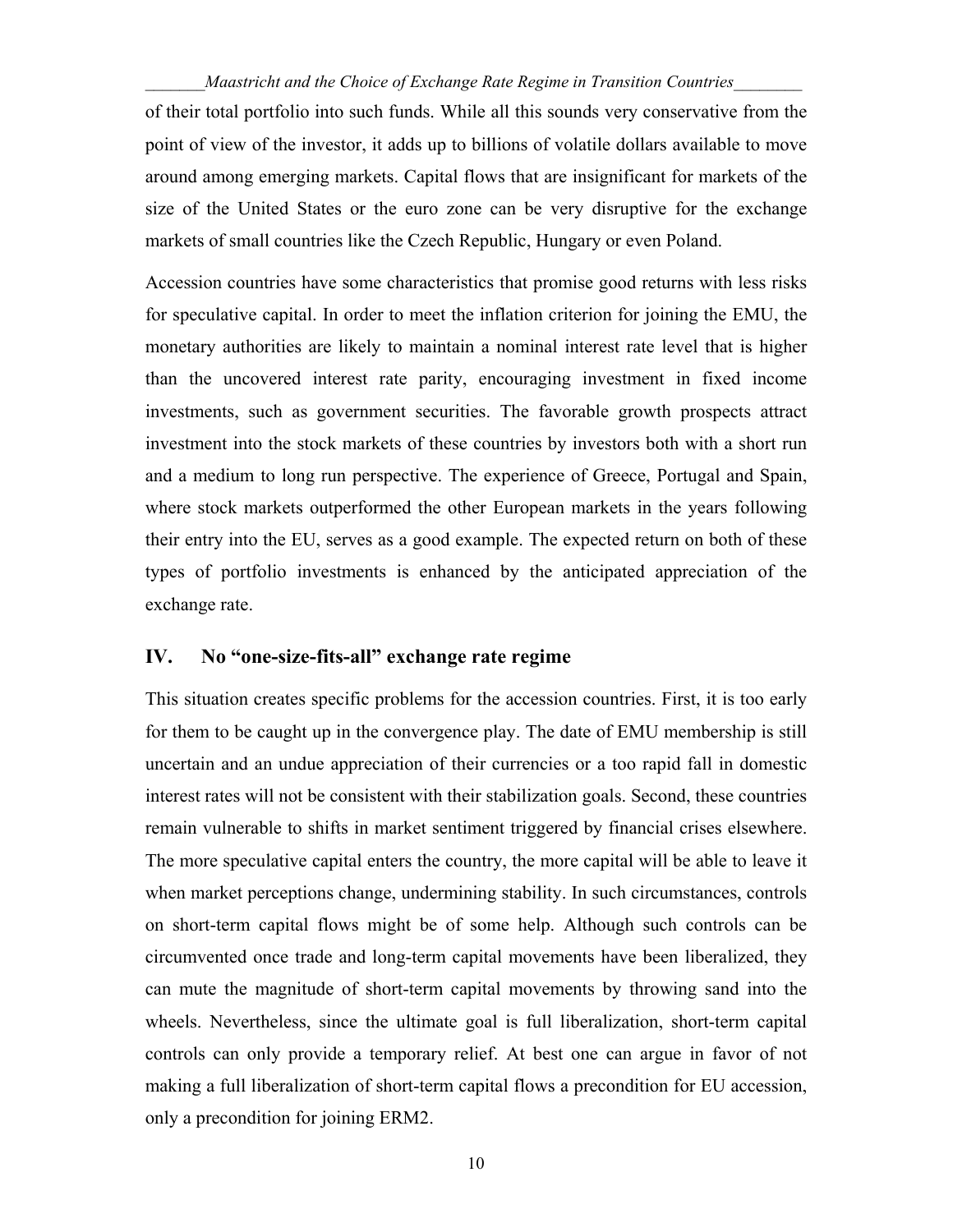of their total portfolio into such funds. While all this sounds very conservative from the point of view of the investor, it adds up to billions of volatile dollars available to move around among emerging markets. Capital flows that are insignificant for markets of the size of the United States or the euro zone can be very disruptive for the exchange markets of small countries like the Czech Republic, Hungary or even Poland.

Accession countries have some characteristics that promise good returns with less risks for speculative capital. In order to meet the inflation criterion for joining the EMU, the monetary authorities are likely to maintain a nominal interest rate level that is higher than the uncovered interest rate parity, encouraging investment in fixed income investments, such as government securities. The favorable growth prospects attract investment into the stock markets of these countries by investors both with a short run and a medium to long run perspective. The experience of Greece, Portugal and Spain, where stock markets outperformed the other European markets in the years following their entry into the EU, serves as a good example. The expected return on both of these types of portfolio investments is enhanced by the anticipated appreciation of the exchange rate.

#### **IV. No "one-size-fits-all" exchange rate regime**

This situation creates specific problems for the accession countries. First, it is too early for them to be caught up in the convergence play. The date of EMU membership is still uncertain and an undue appreciation of their currencies or a too rapid fall in domestic interest rates will not be consistent with their stabilization goals. Second, these countries remain vulnerable to shifts in market sentiment triggered by financial crises elsewhere. The more speculative capital enters the country, the more capital will be able to leave it when market perceptions change, undermining stability. In such circumstances, controls on short-term capital flows might be of some help. Although such controls can be circumvented once trade and long-term capital movements have been liberalized, they can mute the magnitude of short-term capital movements by throwing sand into the wheels. Nevertheless, since the ultimate goal is full liberalization, short-term capital controls can only provide a temporary relief. At best one can argue in favor of not making a full liberalization of short-term capital flows a precondition for EU accession, only a precondition for joining ERM2.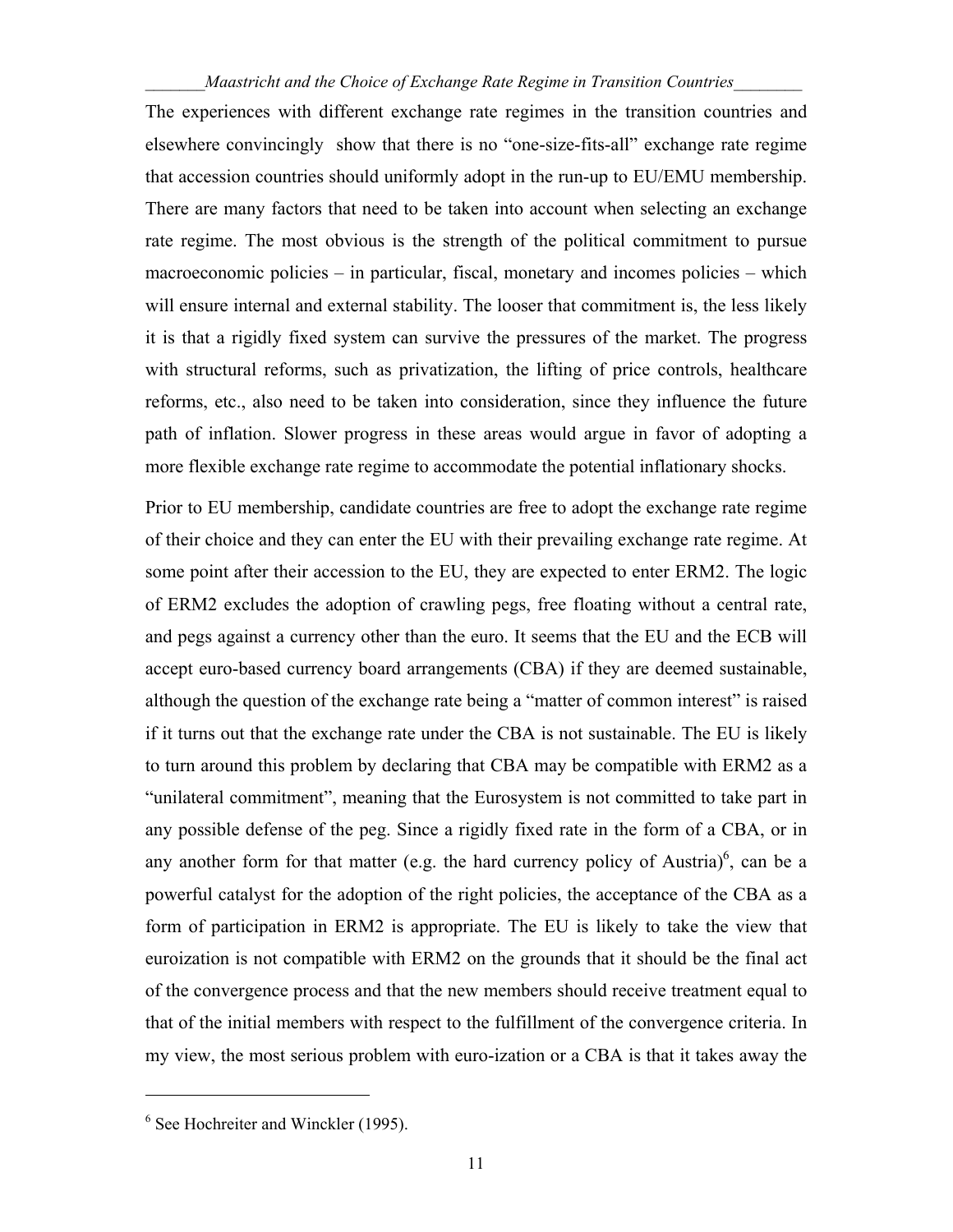The experiences with different exchange rate regimes in the transition countries and elsewhere convincingly show that there is no "one-size-fits-all" exchange rate regime that accession countries should uniformly adopt in the run-up to EU/EMU membership. There are many factors that need to be taken into account when selecting an exchange rate regime. The most obvious is the strength of the political commitment to pursue macroeconomic policies – in particular, fiscal, monetary and incomes policies – which will ensure internal and external stability. The looser that commitment is, the less likely it is that a rigidly fixed system can survive the pressures of the market. The progress with structural reforms, such as privatization, the lifting of price controls, healthcare reforms, etc., also need to be taken into consideration, since they influence the future path of inflation. Slower progress in these areas would argue in favor of adopting a more flexible exchange rate regime to accommodate the potential inflationary shocks.

Prior to EU membership, candidate countries are free to adopt the exchange rate regime of their choice and they can enter the EU with their prevailing exchange rate regime. At some point after their accession to the EU, they are expected to enter ERM2. The logic of ERM2 excludes the adoption of crawling pegs, free floating without a central rate, and pegs against a currency other than the euro. It seems that the EU and the ECB will accept euro-based currency board arrangements (CBA) if they are deemed sustainable, although the question of the exchange rate being a "matter of common interest" is raised if it turns out that the exchange rate under the CBA is not sustainable. The EU is likely to turn around this problem by declaring that CBA may be compatible with ERM2 as a "unilateral commitment", meaning that the Eurosystem is not committed to take part in any possible defense of the peg. Since a rigidly fixed rate in the form of a CBA, or in any another form for that matter (e.g. the hard currency policy of Austria)<sup>6</sup>, can be a powerful catalyst for the adoption of the right policies, the acceptance of the CBA as a form of participation in ERM2 is appropriate. The EU is likely to take the view that euroization is not compatible with ERM2 on the grounds that it should be the final act of the convergence process and that the new members should receive treatment equal to that of the initial members with respect to the fulfillment of the convergence criteria. In my view, the most serious problem with euro-ization or a CBA is that it takes away the

1

<sup>6</sup> See Hochreiter and Winckler (1995).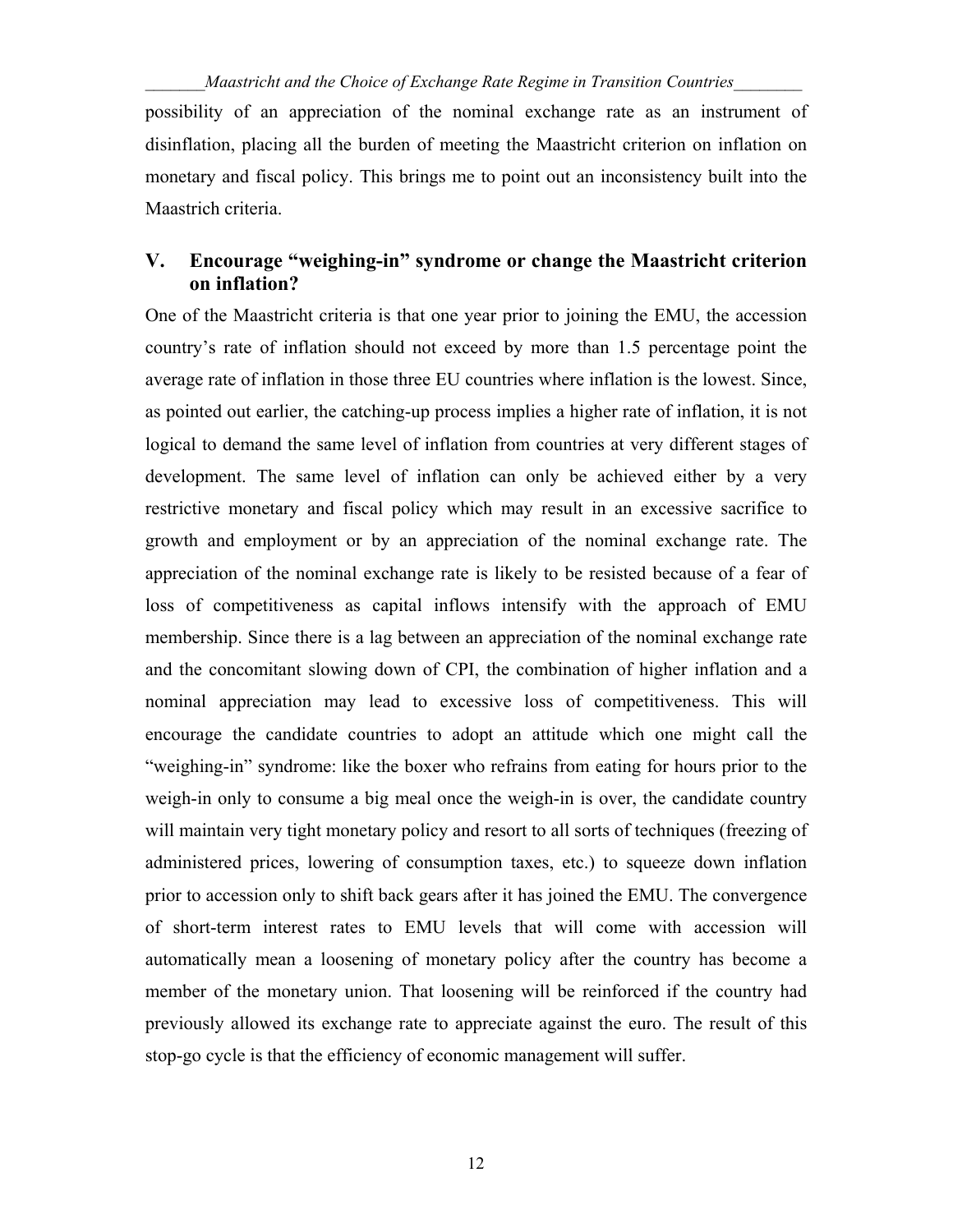possibility of an appreciation of the nominal exchange rate as an instrument of disinflation, placing all the burden of meeting the Maastricht criterion on inflation on monetary and fiscal policy. This brings me to point out an inconsistency built into the Maastrich criteria.

#### **V. Encourage "weighing-in" syndrome or change the Maastricht criterion on inflation?**

One of the Maastricht criteria is that one year prior to joining the EMU, the accession country's rate of inflation should not exceed by more than 1.5 percentage point the average rate of inflation in those three EU countries where inflation is the lowest. Since, as pointed out earlier, the catching-up process implies a higher rate of inflation, it is not logical to demand the same level of inflation from countries at very different stages of development. The same level of inflation can only be achieved either by a very restrictive monetary and fiscal policy which may result in an excessive sacrifice to growth and employment or by an appreciation of the nominal exchange rate. The appreciation of the nominal exchange rate is likely to be resisted because of a fear of loss of competitiveness as capital inflows intensify with the approach of EMU membership. Since there is a lag between an appreciation of the nominal exchange rate and the concomitant slowing down of CPI, the combination of higher inflation and a nominal appreciation may lead to excessive loss of competitiveness. This will encourage the candidate countries to adopt an attitude which one might call the "weighing-in" syndrome: like the boxer who refrains from eating for hours prior to the weigh-in only to consume a big meal once the weigh-in is over, the candidate country will maintain very tight monetary policy and resort to all sorts of techniques (freezing of administered prices, lowering of consumption taxes, etc.) to squeeze down inflation prior to accession only to shift back gears after it has joined the EMU. The convergence of short-term interest rates to EMU levels that will come with accession will automatically mean a loosening of monetary policy after the country has become a member of the monetary union. That loosening will be reinforced if the country had previously allowed its exchange rate to appreciate against the euro. The result of this stop-go cycle is that the efficiency of economic management will suffer.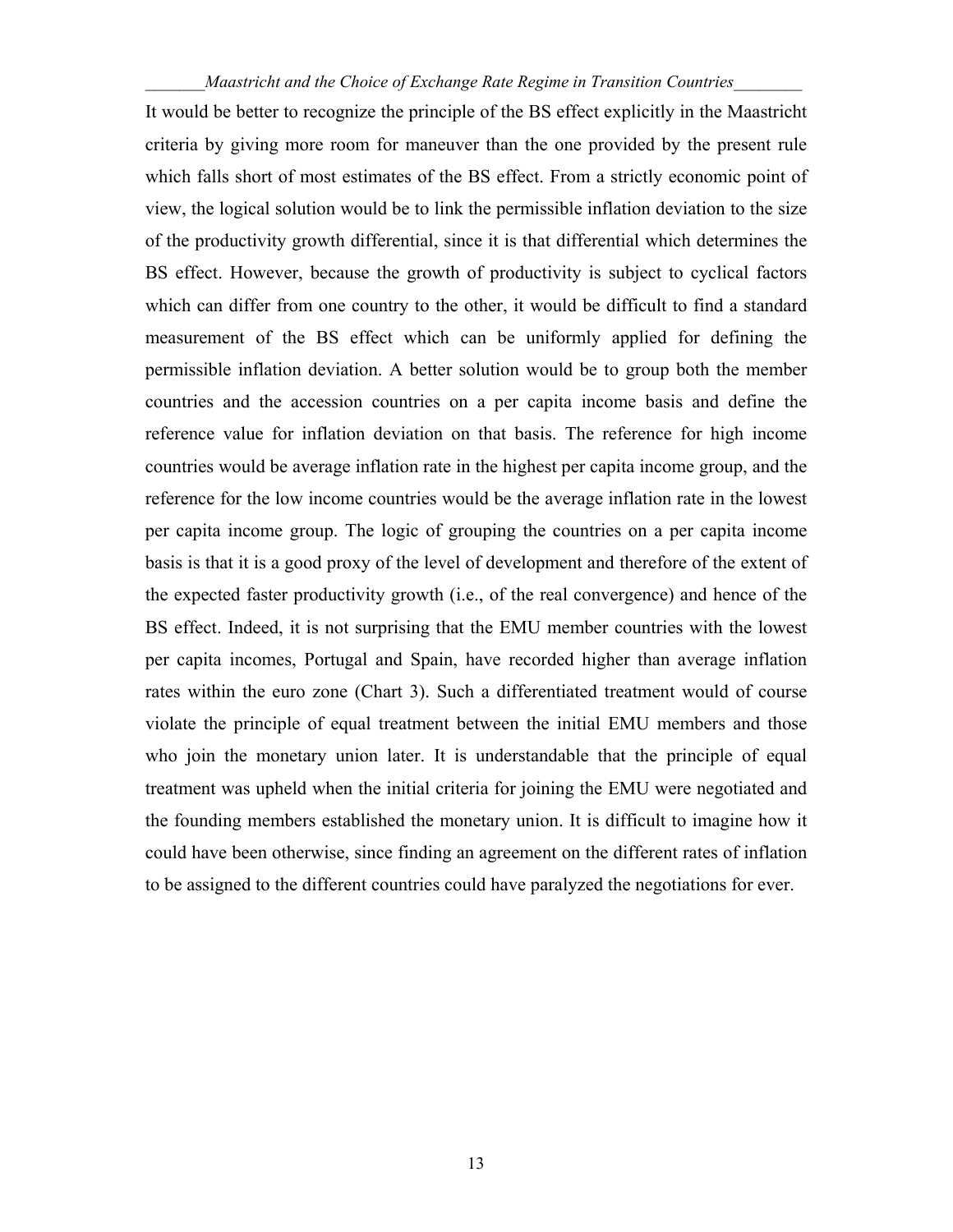It would be better to recognize the principle of the BS effect explicitly in the Maastricht criteria by giving more room for maneuver than the one provided by the present rule which falls short of most estimates of the BS effect. From a strictly economic point of view, the logical solution would be to link the permissible inflation deviation to the size of the productivity growth differential, since it is that differential which determines the BS effect. However, because the growth of productivity is subject to cyclical factors which can differ from one country to the other, it would be difficult to find a standard measurement of the BS effect which can be uniformly applied for defining the permissible inflation deviation. A better solution would be to group both the member countries and the accession countries on a per capita income basis and define the reference value for inflation deviation on that basis. The reference for high income countries would be average inflation rate in the highest per capita income group, and the reference for the low income countries would be the average inflation rate in the lowest per capita income group. The logic of grouping the countries on a per capita income basis is that it is a good proxy of the level of development and therefore of the extent of the expected faster productivity growth (i.e., of the real convergence) and hence of the BS effect. Indeed, it is not surprising that the EMU member countries with the lowest per capita incomes, Portugal and Spain, have recorded higher than average inflation rates within the euro zone (Chart 3). Such a differentiated treatment would of course violate the principle of equal treatment between the initial EMU members and those who join the monetary union later. It is understandable that the principle of equal treatment was upheld when the initial criteria for joining the EMU were negotiated and the founding members established the monetary union. It is difficult to imagine how it could have been otherwise, since finding an agreement on the different rates of inflation to be assigned to the different countries could have paralyzed the negotiations for ever.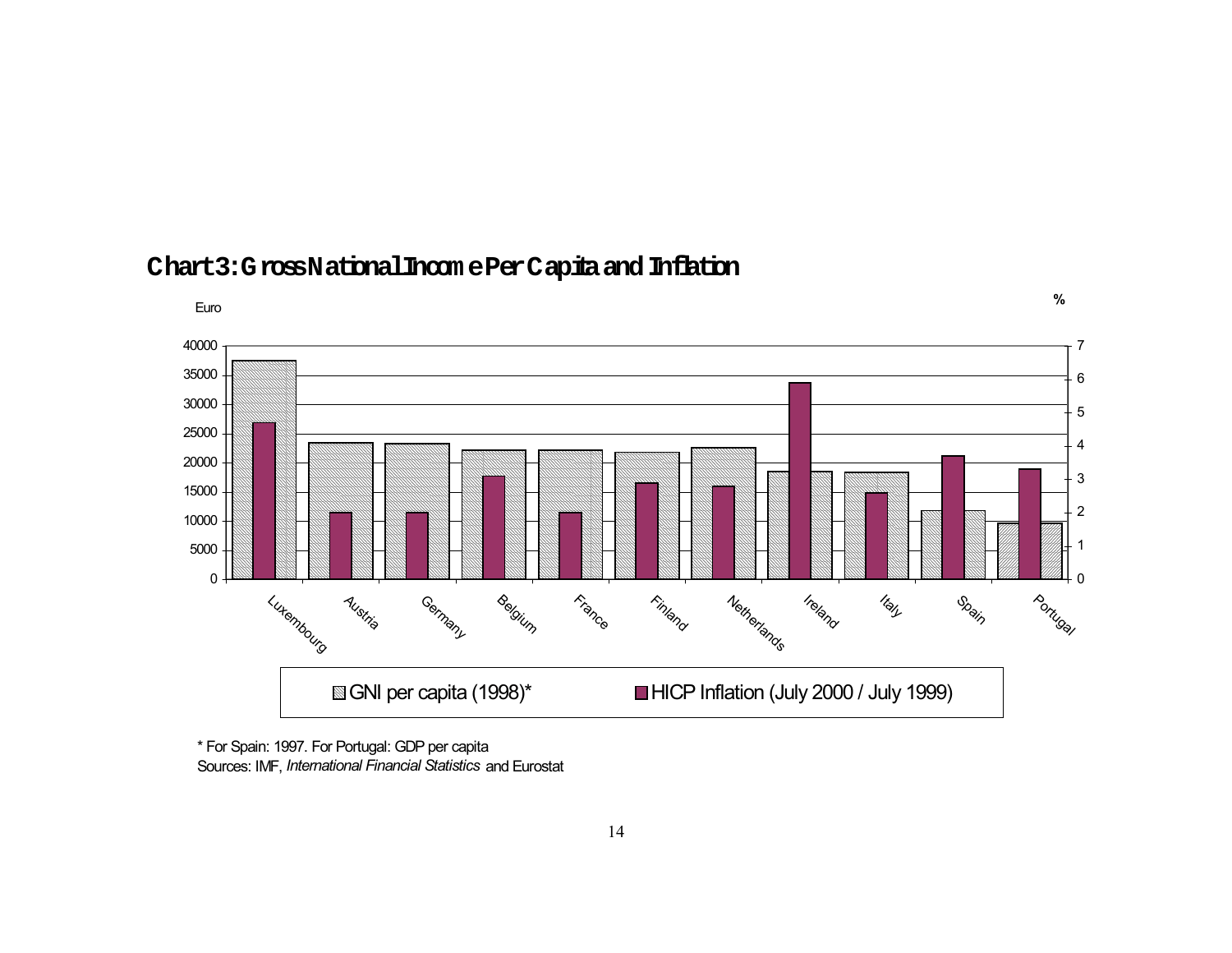

## **Chart3:GrossNationalIncom e Per Capita and Inflation**

\* For Spain: 1997. For Portugal: GDP per capita Sources: IMF, *International Financial Statistics* and Eurostat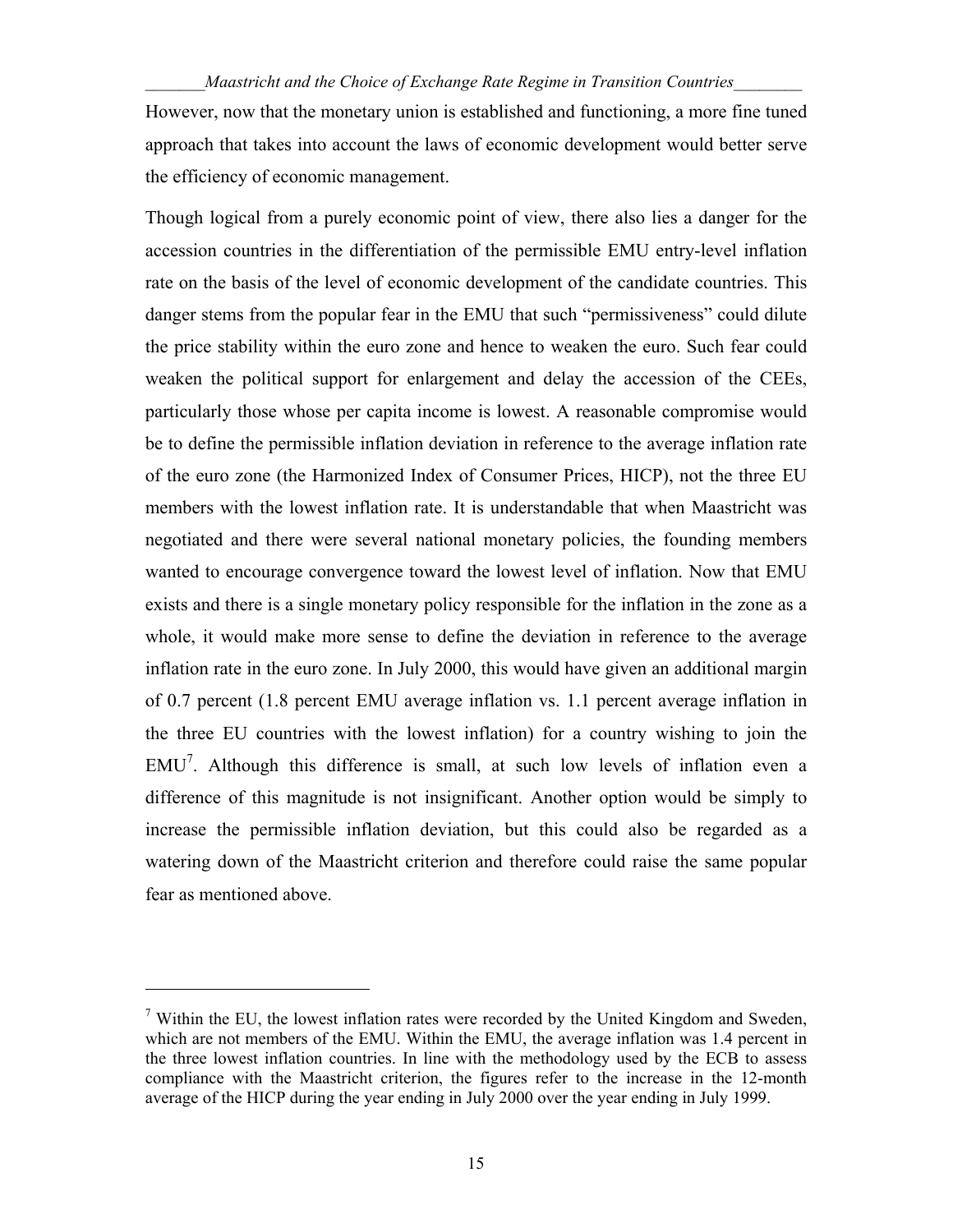However, now that the monetary union is established and functioning, a more fine tuned approach that takes into account the laws of economic development would better serve the efficiency of economic management.

Though logical from a purely economic point of view, there also lies a danger for the accession countries in the differentiation of the permissible EMU entry-level inflation rate on the basis of the level of economic development of the candidate countries. This danger stems from the popular fear in the EMU that such "permissiveness" could dilute the price stability within the euro zone and hence to weaken the euro. Such fear could weaken the political support for enlargement and delay the accession of the CEEs, particularly those whose per capita income is lowest. A reasonable compromise would be to define the permissible inflation deviation in reference to the average inflation rate of the euro zone (the Harmonized Index of Consumer Prices, HICP), not the three EU members with the lowest inflation rate. It is understandable that when Maastricht was negotiated and there were several national monetary policies, the founding members wanted to encourage convergence toward the lowest level of inflation. Now that EMU exists and there is a single monetary policy responsible for the inflation in the zone as a whole, it would make more sense to define the deviation in reference to the average inflation rate in the euro zone. In July 2000, this would have given an additional margin of 0.7 percent (1.8 percent EMU average inflation vs. 1.1 percent average inflation in the three EU countries with the lowest inflation) for a country wishing to join the EMU<sup>7</sup>. Although this difference is small, at such low levels of inflation even a difference of this magnitude is not insignificant. Another option would be simply to increase the permissible inflation deviation, but this could also be regarded as a watering down of the Maastricht criterion and therefore could raise the same popular fear as mentioned above.

1

 $7$  Within the EU, the lowest inflation rates were recorded by the United Kingdom and Sweden, which are not members of the EMU. Within the EMU, the average inflation was 1.4 percent in the three lowest inflation countries. In line with the methodology used by the ECB to assess compliance with the Maastricht criterion, the figures refer to the increase in the 12-month average of the HICP during the year ending in July 2000 over the year ending in July 1999.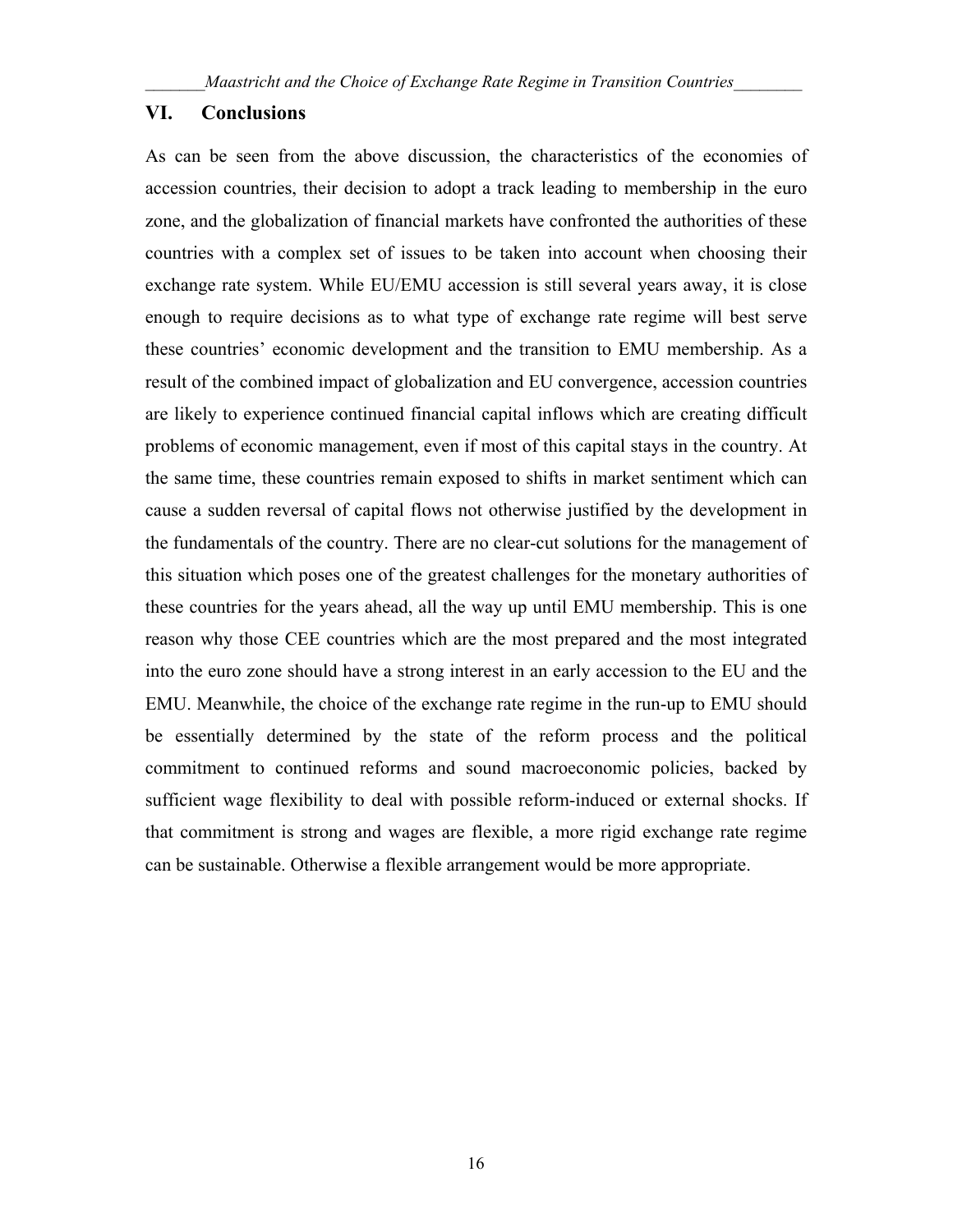#### **VI. Conclusions**

As can be seen from the above discussion, the characteristics of the economies of accession countries, their decision to adopt a track leading to membership in the euro zone, and the globalization of financial markets have confronted the authorities of these countries with a complex set of issues to be taken into account when choosing their exchange rate system. While EU/EMU accession is still several years away, it is close enough to require decisions as to what type of exchange rate regime will best serve these countries' economic development and the transition to EMU membership. As a result of the combined impact of globalization and EU convergence, accession countries are likely to experience continued financial capital inflows which are creating difficult problems of economic management, even if most of this capital stays in the country. At the same time, these countries remain exposed to shifts in market sentiment which can cause a sudden reversal of capital flows not otherwise justified by the development in the fundamentals of the country. There are no clear-cut solutions for the management of this situation which poses one of the greatest challenges for the monetary authorities of these countries for the years ahead, all the way up until EMU membership. This is one reason why those CEE countries which are the most prepared and the most integrated into the euro zone should have a strong interest in an early accession to the EU and the EMU. Meanwhile, the choice of the exchange rate regime in the run-up to EMU should be essentially determined by the state of the reform process and the political commitment to continued reforms and sound macroeconomic policies, backed by sufficient wage flexibility to deal with possible reform-induced or external shocks. If that commitment is strong and wages are flexible, a more rigid exchange rate regime can be sustainable. Otherwise a flexible arrangement would be more appropriate.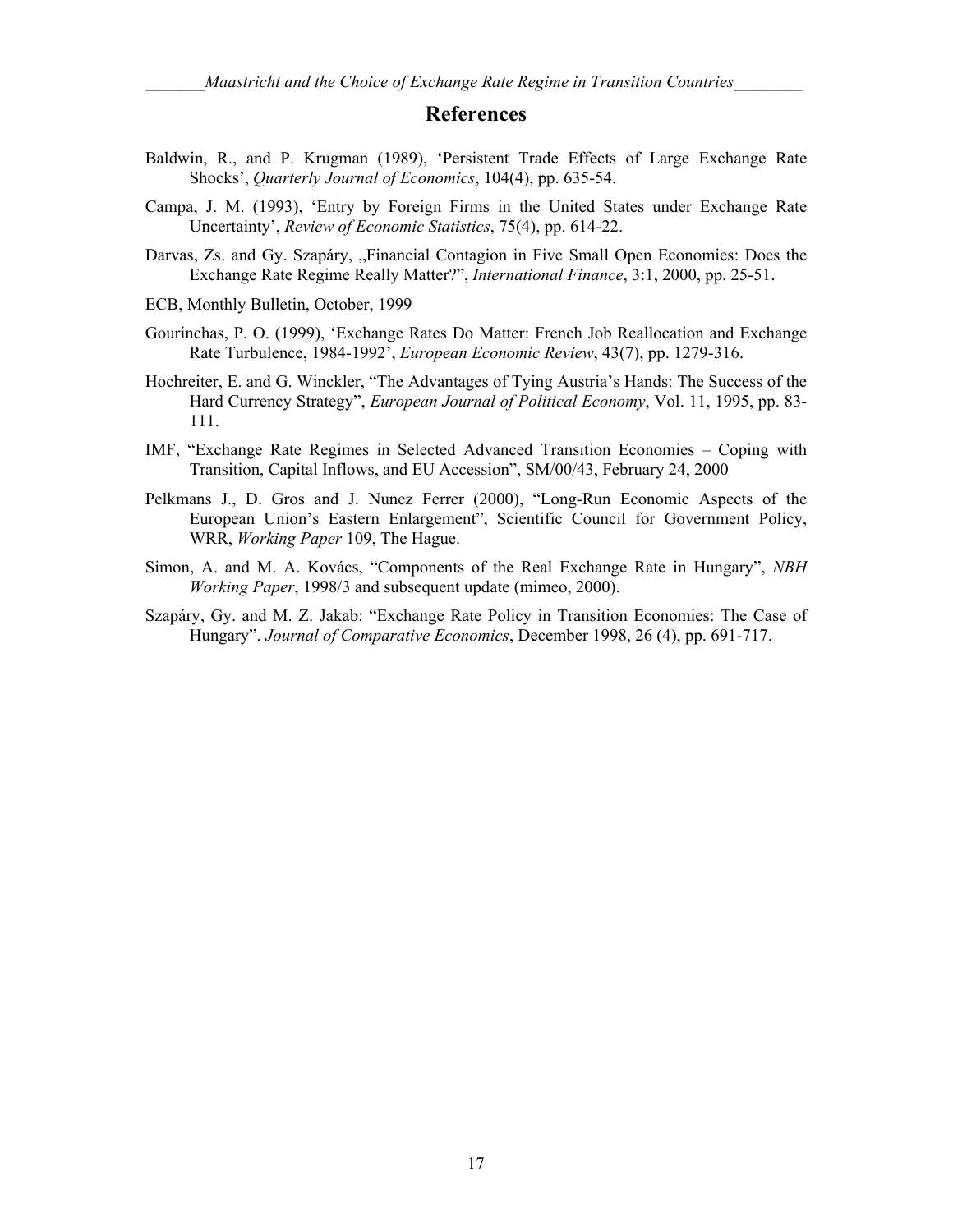#### **References**

- Baldwin, R., and P. Krugman (1989), 'Persistent Trade Effects of Large Exchange Rate Shocks', *Quarterly Journal of Economics*, 104(4), pp. 635-54.
- Campa, J. M. (1993), 'Entry by Foreign Firms in the United States under Exchange Rate Uncertainty', *Review of Economic Statistics*, 75(4), pp. 614-22.
- Darvas, Zs. and Gy. Szapáry, "Financial Contagion in Five Small Open Economies: Does the Exchange Rate Regime Really Matter?", *International Finance*, 3:1, 2000, pp. 25-51.
- ECB, Monthly Bulletin, October, 1999
- Gourinchas, P. O. (1999), 'Exchange Rates Do Matter: French Job Reallocation and Exchange Rate Turbulence, 1984-1992', *European Economic Review*, 43(7), pp. 1279-316.
- Hochreiter, E. and G. Winckler, "The Advantages of Tying Austria's Hands: The Success of the Hard Currency Strategy", *European Journal of Political Economy*, Vol. 11, 1995, pp. 83- 111.
- IMF, "Exchange Rate Regimes in Selected Advanced Transition Economies Coping with Transition, Capital Inflows, and EU Accession", SM/00/43, February 24, 2000
- Pelkmans J., D. Gros and J. Nunez Ferrer (2000), "Long-Run Economic Aspects of the European Union's Eastern Enlargement", Scientific Council for Government Policy, WRR, *Working Paper* 109, The Hague.
- Simon, A. and M. A. Kovács, "Components of the Real Exchange Rate in Hungary", *NBH Working Paper*, 1998/3 and subsequent update (mimeo, 2000).
- Szapáry, Gy. and M. Z. Jakab: "Exchange Rate Policy in Transition Economies: The Case of Hungary". *Journal of Comparative Economics*, December 1998, 26 (4), pp. 691-717.